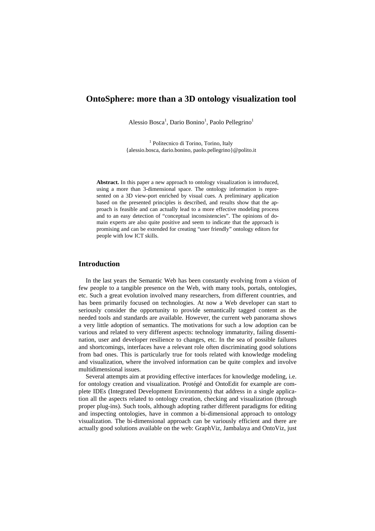# **OntoSphere: more than a 3D ontology visualization tool**

Alessio Bosca<sup>1</sup>, Dario Bonino<sup>1</sup>, Paolo Pellegrino<sup>1</sup>

<sup>1</sup> Politecnico di Torino, Torino, Italy {alessio.bosca, dario.bonino, paolo.pellegrino}@polito.it

**Abstract.** In this paper a new approach to ontology visualization is introduced, using a more than 3-dimensional space. The ontology information is represented on a 3D view-port enriched by visual cues. A preliminary application based on the presented principles is described, and results show that the approach is feasible and can actually lead to a more effective modeling process and to an easy detection of "conceptual inconsistencies". The opinions of domain experts are also quite positive and seem to indicate that the approach is promising and can be extended for creating "user friendly" ontology editors for people with low ICT skills.

### **Introduction**

In the last years the Semantic Web has been constantly evolving from a vision of few people to a tangible presence on the Web, with many tools, portals, ontologies, etc. Such a great evolution involved many researchers, from different countries, and has been primarily focused on technologies. At now a Web developer can start to seriously consider the opportunity to provide semantically tagged content as the needed tools and standards are available. However, the current web panorama shows a very little adoption of semantics. The motivations for such a low adoption can be various and related to very different aspects: technology immaturity, failing dissemination, user and developer resilience to changes, etc. In the sea of possible failures and shortcomings, interfaces have a relevant role often discriminating good solutions from bad ones. This is particularly true for tools related with knowledge modeling and visualization, where the involved information can be quite complex and involve multidimensional issues.

Several attempts aim at providing effective interfaces for knowledge modeling, i.e. for ontology creation and visualization. Protégé and OntoEdit for example are complete IDEs (Integrated Development Environments) that address in a single application all the aspects related to ontology creation, checking and visualization (through proper plug-ins). Such tools, although adopting rather different paradigms for editing and inspecting ontologies, have in common a bi-dimensional approach to ontology visualization. The bi-dimensional approach can be variously efficient and there are actually good solutions available on the web: GraphViz, Jambalaya and OntoViz, just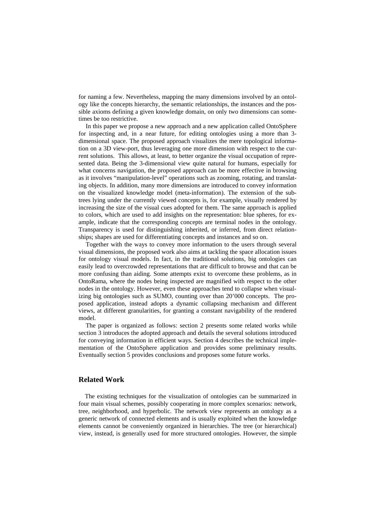for naming a few. Nevertheless, mapping the many dimensions involved by an ontology like the concepts hierarchy, the semantic relationships, the instances and the possible axioms defining a given knowledge domain, on only two dimensions can sometimes be too restrictive.

In this paper we propose a new approach and a new application called OntoSphere for inspecting and, in a near future, for editing ontologies using a more than 3 dimensional space. The proposed approach visualizes the mere topological information on a 3D view-port, thus leveraging one more dimension with respect to the current solutions. This allows, at least, to better organize the visual occupation of represented data. Being the 3-dimensional view quite natural for humans, especially for what concerns navigation, the proposed approach can be more effective in browsing as it involves "manipulation-level" operations such as zooming, rotating, and translating objects. In addition, many more dimensions are introduced to convey information on the visualized knowledge model (meta-information). The extension of the subtrees lying under the currently viewed concepts is, for example, visually rendered by increasing the size of the visual cues adopted for them. The same approach is applied to colors, which are used to add insights on the representation: blue spheres, for example, indicate that the corresponding concepts are terminal nodes in the ontology. Transparency is used for distinguishing inherited, or inferred, from direct relationships; shapes are used for differentiating concepts and instances and so on.

Together with the ways to convey more information to the users through several visual dimensions, the proposed work also aims at tackling the space allocation issues for ontology visual models. In fact, in the traditional solutions, big ontologies can easily lead to overcrowded representations that are difficult to browse and that can be more confusing than aiding. Some attempts exist to overcome these problems, as in OntoRama, where the nodes being inspected are magnified with respect to the other nodes in the ontology. However, even these approaches tend to collapse when visualizing big ontologies such as SUMO, counting over than 20'000 concepts. The proposed application, instead adopts a dynamic collapsing mechanism and different views, at different granularities, for granting a constant navigability of the rendered model.

The paper is organized as follows: section 2 presents some related works while section 3 introduces the adopted approach and details the several solutions introduced for conveying information in efficient ways. Section 4 describes the technical implementation of the OntoSphere application and provides some preliminary results. Eventually section 5 provides conclusions and proposes some future works.

## **Related Work**

The existing techniques for the visualization of ontologies can be summarized in four main visual schemes, possibly cooperating in more complex scenarios: network, tree, neighborhood, and hyperbolic. The network view represents an ontology as a generic network of connected elements and is usually exploited when the knowledge elements cannot be conveniently organized in hierarchies. The tree (or hierarchical) view, instead, is generally used for more structured ontologies. However, the simple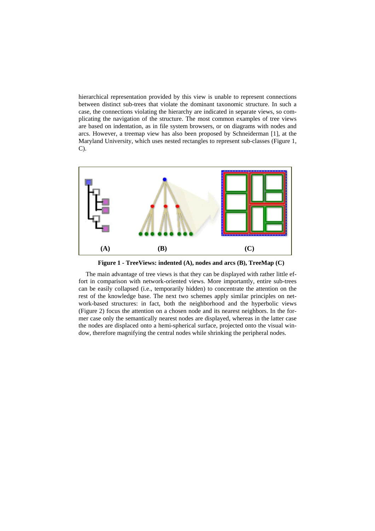hierarchical representation provided by this view is unable to represent connections between distinct sub-trees that violate the dominant taxonomic structure. In such a case, the connections violating the hierarchy are indicated in separate views, so complicating the navigation of the structure. The most common examples of tree views are based on indentation, as in file system browsers, or on diagrams with nodes and arcs. However, a treemap view has also been proposed by Schneiderman [1], at the Maryland University, which uses nested rectangles to represent sub-classes (Figure 1, C).



**Figure 1 - TreeViews: indented (A), nodes and arcs (B), TreeMap (C)** 

The main advantage of tree views is that they can be displayed with rather little effort in comparison with network-oriented views. More importantly, entire sub-trees can be easily collapsed (i.e., temporarily hidden) to concentrate the attention on the rest of the knowledge base. The next two schemes apply similar principles on network-based structures: in fact, both the neighborhood and the hyperbolic views (Figure 2) focus the attention on a chosen node and its nearest neighbors. In the former case only the semantically nearest nodes are displayed, whereas in the latter case the nodes are displaced onto a hemi-spherical surface, projected onto the visual window, therefore magnifying the central nodes while shrinking the peripheral nodes.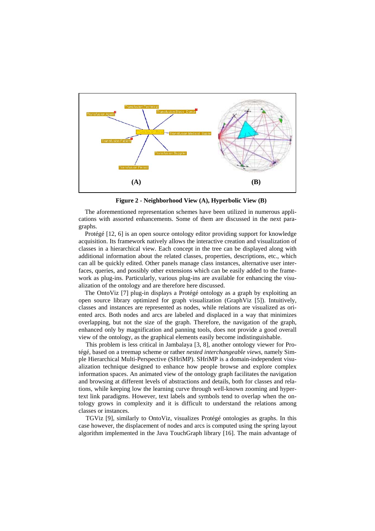

**Figure 2 - Neighborhood View (A), Hyperbolic View (B)** 

The aforementioned representation schemes have been utilized in numerous applications with assorted enhancements. Some of them are discussed in the next paragraphs.

Protégé [12, 6] is an open source ontology editor providing support for knowledge acquisition. Its framework natively allows the interactive creation and visualization of classes in a hierarchical view. Each concept in the tree can be displayed along with additional information about the related classes, properties, descriptions, etc., which can all be quickly edited. Other panels manage class instances, alternative user interfaces, queries, and possibly other extensions which can be easily added to the framework as plug-ins. Particularly, various plug-ins are available for enhancing the visualization of the ontology and are therefore here discussed.

The OntoViz [7] plug-in displays a Protégé ontology as a graph by exploiting an open source library optimized for graph visualization (GraphViz [ 5]). Intuitively, classes and instances are represented as nodes, while relations are visualized as oriented arcs. Both nodes and arcs are labeled and displaced in a way that minimizes overlapping, but not the size of the graph. Therefore, the navigation of the graph, enhanced only by magnification and panning tools, does not provide a good overall view of the ontology, as the graphical elements easily become indistinguishable.

This problem is less critical in Jambalaya [3, 8], another ontology viewer for Protégé, based on a treemap scheme or rather *nested interchangeable views*, namely Simple Hierarchical Multi-Perspective (SHriMP). SHriMP is a domain-independent visualization technique designed to enhance how people browse and explore complex information spaces. An animated view of the ontology graph facilitates the navigation and browsing at different levels of abstractions and details, both for classes and relations, while keeping low the learning curve through well-known zooming and hypertext link paradigms. However, text labels and symbols tend to overlap when the ontology grows in complexity and it is difficult to understand the relations among classes or instances.

TGViz [ 9], similarly to OntoViz, visualizes Protégé ontologies as graphs. In this case however, the displacement of nodes and arcs is computed using the spring layout algorithm implemented in the Java TouchGraph library [ 16]. The main advantage of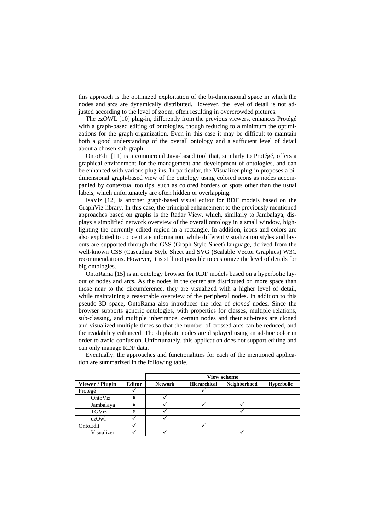this approach is the optimized exploitation of the bi-dimensional space in which the nodes and arcs are dynamically distributed. However, the level of detail is not adjusted according to the level of zoom, often resulting in overcrowded pictures.

The ezOWL [10] plug-in, differently from the previous viewers, enhances Protégé with a graph-based editing of ontologies, though reducing to a minimum the optimizations for the graph organization. Even in this case it may be difficult to maintain both a good understanding of the overall ontology and a sufficient level of detail about a chosen sub-graph.

OntoEdit [ 11] is a commercial Java-based tool that, similarly to Protégé, offers a graphical environment for the management and development of ontologies, and can be enhanced with various plug-ins. In particular, the Visualizer plug-in proposes a bidimensional graph-based view of the ontology using colored icons as nodes accompanied by contextual tooltips, such as colored borders or spots other than the usual labels, which unfortunately are often hidden or overlapping.

IsaViz [ 12] is another graph-based visual editor for RDF models based on the GraphViz library. In this case, the principal enhancement to the previously mentioned approaches based on graphs is the Radar View, which, similarly to Jambalaya, displays a simplified network overview of the overall ontology in a small window, highlighting the currently edited region in a rectangle. In addition, icons and colors are also exploited to concentrate information, while different visualization styles and layouts are supported through the GSS (Graph Style Sheet) language, derived from the well-known CSS (Cascading Style Sheet and SVG (Scalable Vector Graphics) W3C recommendations. However, it is still not possible to customize the level of details for big ontologies.

OntoRama [ 15] is an ontology browser for RDF models based on a hyperbolic layout of nodes and arcs. As the nodes in the center are distributed on more space than those near to the circumference, they are visualized with a higher level of detail, while maintaining a reasonable overview of the peripheral nodes. In addition to this pseudo-3D space, OntoRama also introduces the idea of *cloned* nodes. Since the browser supports generic ontologies, with properties for classes, multiple relations, sub-classing, and multiple inheritance, certain nodes and their sub-trees are cloned and visualized multiple times so that the number of crossed arcs can be reduced, and the readability enhanced. The duplicate nodes are displayed using an ad-hoc color in order to avoid confusion. Unfortunately, this application does not support editing and can only manage RDF data.

|                 |               | <b>View scheme</b> |                     |              |                   |  |  |  |
|-----------------|---------------|--------------------|---------------------|--------------|-------------------|--|--|--|
| Viewer / Plugin | <b>Editor</b> | <b>Network</b>     | <b>Hierarchical</b> | Neighborhood | <b>Hyperbolic</b> |  |  |  |
| Protégé         |               |                    |                     |              |                   |  |  |  |
| OntoViz         | ×             |                    |                     |              |                   |  |  |  |
| Jambalaya       | ×             |                    |                     |              |                   |  |  |  |
| <b>TGViz</b>    | ×             |                    |                     |              |                   |  |  |  |
| ezOwl           |               |                    |                     |              |                   |  |  |  |
| OntoEdit        |               |                    |                     |              |                   |  |  |  |
| Visualizer      |               |                    |                     |              |                   |  |  |  |

Eventually, the approaches and functionalities for each of the mentioned application are summarized in the following table.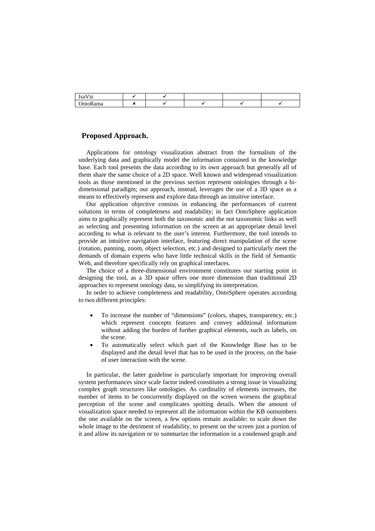| T<br>1sa<br>$\sqrt{1 + \pi}$<br><br>14 |  |  |  |
|----------------------------------------|--|--|--|
| $\sum_{i=1}^{n}$<br>. .                |  |  |  |

## **Proposed Approach.**

Applications for ontology visualization abstract from the formalism of the underlying data and graphically model the information contained in the knowledge base. Each tool presents the data according to its own approach but generally all of them share the same choice of a 2D space. Well known and widespread visualization tools as those mentioned in the previous section represent ontologies through a bidimensional paradigm; our approach, instead, leverages the use of a 3D space as a means to effectively represent and explore data through an intuitive interface.

Our application objective consists in enhancing the performances of current solutions in terms of completeness and readability; in fact OntoSphere application aims to graphically represent both the taxonomic and the not taxonomic links as well as selecting and presenting information on the screen at an appropriate detail level according to what is relevant to the user's interest. Furthermore, the tool intends to provide an intuitive navigation interface, featuring direct manipulation of the scene (rotation, panning, zoom, object selection, etc.) and designed to particularly meet the demands of domain experts who have little technical skills in the field of Semantic Web, and therefore specifically rely on graphical interfaces.

The choice of a three-dimensional environment constitutes our starting point in designing the tool, as a 3D space offers one more dimension than traditional 2D approaches to represent ontology data, so simplifying its interpretation.

In order to achieve completeness and readability, OntoSphere operates according to two different principles:

- To increase the number of "dimensions" (colors, shapes, transparency, etc.) which represent concepts features and convey additional information without adding the burden of further graphical elements, such as labels, on the scene.
- To automatically select which part of the Knowledge Base has to be displayed and the detail level that has to be used in the process, on the base of user interaction with the scene.

In particular, the latter guideline is particularly important for improving overall system performances since scale factor indeed constitutes a strong issue in visualizing complex graph structures like ontologies. As cardinality of elements increases, the number of items to be concurrently displayed on the screen worsens the graphical perception of the scene and complicates spotting details. When the amount of visualization space needed to represent all the information within the KB outnumbers the one available on the screen, a few options remain available: to scale down the whole image to the detriment of readability, to present on the screen just a portion of it and allow its navigation or to summarize the information in a condensed graph and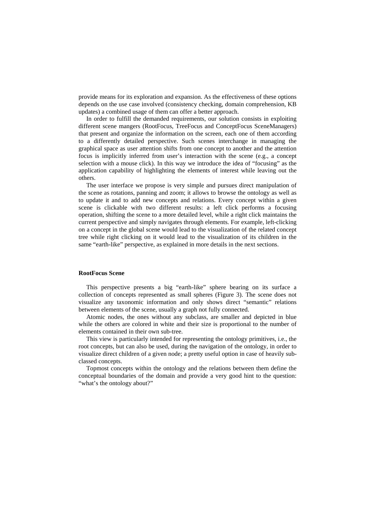provide means for its exploration and expansion. As the effectiveness of these options depends on the use case involved (consistency checking, domain comprehension, KB updates) a combined usage of them can offer a better approach.

In order to fulfill the demanded requirements, our solution consists in exploiting different scene mangers (RootFocus, TreeFocus and ConceptFocus SceneManagers) that present and organize the information on the screen, each one of them according to a differently detailed perspective. Such scenes interchange in managing the graphical space as user attention shifts from one concept to another and the attention focus is implicitly inferred from user's interaction with the scene (e.g., a concept selection with a mouse click). In this way we introduce the idea of "focusing" as the application capability of highlighting the elements of interest while leaving out the others.

The user interface we propose is very simple and pursues direct manipulation of the scene as rotations, panning and zoom; it allows to browse the ontology as well as to update it and to add new concepts and relations. Every concept within a given scene is clickable with two different results: a left click performs a focusing operation, shifting the scene to a more detailed level, while a right click maintains the current perspective and simply navigates through elements. For example, left-clicking on a concept in the global scene would lead to the visualization of the related concept tree while right clicking on it would lead to the visualization of its children in the same "earth-like" perspective, as explained in more details in the next sections.

#### **RootFocus Scene**

This perspective presents a big "earth-like" sphere bearing on its surface a collection of concepts represented as small spheres (Figure 3). The scene does not visualize any taxonomic information and only shows direct "semantic" relations between elements of the scene, usually a graph not fully connected.

Atomic nodes, the ones without any subclass, are smaller and depicted in blue while the others are colored in white and their size is proportional to the number of elements contained in their own sub-tree.

This view is particularly intended for representing the ontology primitives, i.e., the root concepts, but can also be used, during the navigation of the ontology, in order to visualize direct children of a given node; a pretty useful option in case of heavily subclassed concepts.

Topmost concepts within the ontology and the relations between them define the conceptual boundaries of the domain and provide a very good hint to the question: "what's the ontology about?"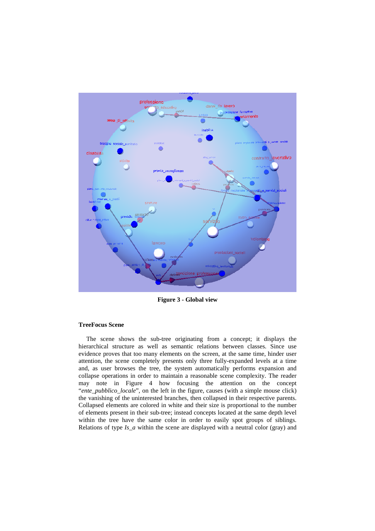

**Figure 3 - Global view** 

#### **TreeFocus Scene**

The scene shows the sub-tree originating from a concept; it displays the hierarchical structure as well as semantic relations between classes. Since use evidence proves that too many elements on the screen, at the same time, hinder user attention, the scene completely presents only three fully-expanded levels at a time and, as user browses the tree, the system automatically performs expansion and collapse operations in order to maintain a reasonable scene complexity. The reader may note in Figure 4 how focusing the attention on the concept "*ente\_pubblico\_locale*", on the left in the figure, causes (with a simple mouse click) the vanishing of the uninterested branches, then collapsed in their respective parents. Collapsed elements are colored in white and their size is proportional to the number of elements present in their sub-tree; instead concepts located at the same depth level within the tree have the same color in order to easily spot groups of siblings. Relations of type *Is\_a* within the scene are displayed with a neutral color (gray) and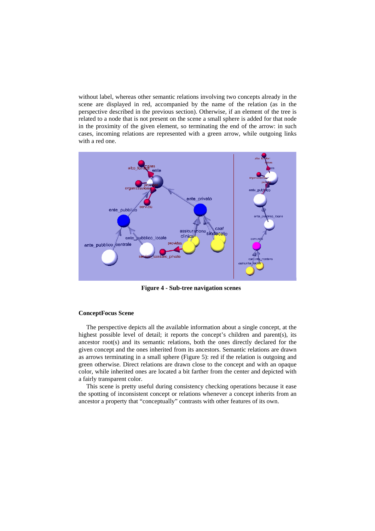without label, whereas other semantic relations involving two concepts already in the scene are displayed in red, accompanied by the name of the relation (as in the perspective described in the previous section). Otherwise, if an element of the tree is related to a node that is not present on the scene a small sphere is added for that node in the proximity of the given element, so terminating the end of the arrow: in such cases, incoming relations are represented with a green arrow, while outgoing links with a red one.



**Figure 4 - Sub-tree navigation scenes** 

#### **ConceptFocus Scene**

The perspective depicts all the available information about a single concept, at the highest possible level of detail; it reports the concept's children and parent(s), its ancestor root(s) and its semantic relations, both the ones directly declared for the given concept and the ones inherited from its ancestors. Semantic relations are drawn as arrows terminating in a small sphere (Figure 5): red if the relation is outgoing and green otherwise. Direct relations are drawn close to the concept and with an opaque color, while inherited ones are located a bit farther from the center and depicted with a fairly transparent color.

This scene is pretty useful during consistency checking operations because it ease the spotting of inconsistent concept or relations whenever a concept inherits from an ancestor a property that "conceptually" contrasts with other features of its own.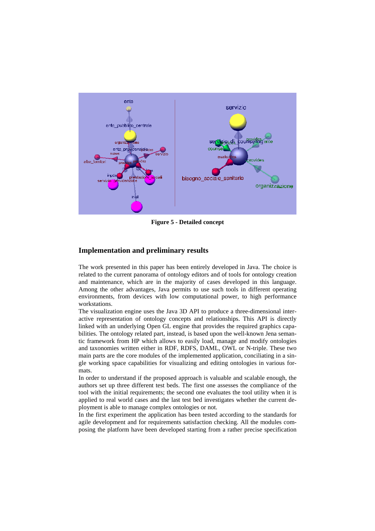

**Figure 5 - Detailed concept** 

## **Implementation and preliminary results**

The work presented in this paper has been entirely developed in Java. The choice is related to the current panorama of ontology editors and of tools for ontology creation and maintenance, which are in the majority of cases developed in this language. Among the other advantages, Java permits to use such tools in different operating environments, from devices with low computational power, to high performance workstations.

The visualization engine uses the Java 3D API to produce a three-dimensional interactive representation of ontology concepts and relationships. This API is directly linked with an underlying Open GL engine that provides the required graphics capabilities. The ontology related part, instead, is based upon the well-known Jena semantic framework from HP which allows to easily load, manage and modify ontologies and taxonomies written either in RDF, RDFS, DAML, OWL or N-triple. These two main parts are the core modules of the implemented application, conciliating in a single working space capabilities for visualizing and editing ontologies in various formats.

In order to understand if the proposed approach is valuable and scalable enough, the authors set up three different test beds. The first one assesses the compliance of the tool with the initial requirements; the second one evaluates the tool utility when it is applied to real world cases and the last test bed investigates whether the current deployment is able to manage complex ontologies or not.

In the first experiment the application has been tested according to the standards for agile development and for requirements satisfaction checking. All the modules composing the platform have been developed starting from a rather precise specification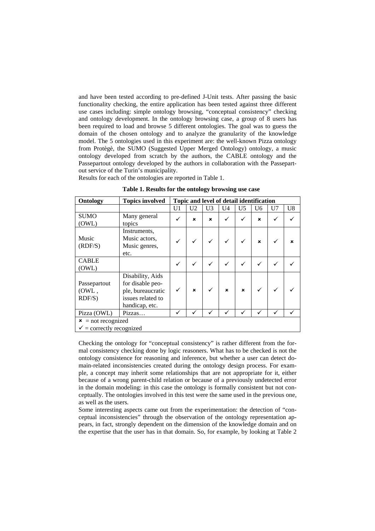and have been tested according to pre-defined J-Unit tests. After passing the basic functionality checking, the entire application has been tested against three different use cases including: simple ontology browsing, "conceptual consistency" checking and ontology development. In the ontology browsing case, a group of 8 users has been required to load and browse 5 different ontologies. The goal was to guess the domain of the chosen ontology and to analyze the granularity of the knowledge model. The 5 ontologies used in this experiment are: the well-known Pizza ontology from Protègè, the SUMO (Suggested Upper Merged Ontology) ontology, a music ontology developed from scratch by the authors, the CABLE ontology and the Passepartout ontology developed by the authors in collaboration with the Passepartout service of the Turin's municipality.

Results for each of the ontologies are reported in Table 1.

| Ontology                                                    | <b>Topics involved</b>                                                                           | Topic and level of detail identification |                |                |                |                |                |                |                |
|-------------------------------------------------------------|--------------------------------------------------------------------------------------------------|------------------------------------------|----------------|----------------|----------------|----------------|----------------|----------------|----------------|
|                                                             |                                                                                                  | U <sub>1</sub>                           | U <sub>2</sub> | U <sub>3</sub> | U <sub>4</sub> | U <sub>5</sub> | U <sub>6</sub> | U <sub>7</sub> | U <sub>8</sub> |
| <b>SUMO</b><br>(OWL)                                        | Many general<br>topics                                                                           | ✓                                        | $\mathbf x$    | $\mathbf{x}$   | ✓              | ✓              | $\mathbf{x}$   | $\checkmark$   |                |
| Music<br>(RDF/S)                                            | Instruments,<br>Music actors.<br>Music genres,<br>etc.                                           |                                          |                |                | ✓              |                | $\mathbf x$    | ✓              | ×              |
| <b>CABLE</b><br>(OWL)                                       |                                                                                                  | ✓                                        | ✓              |                | ✓              |                | ✓              |                |                |
| Passepartout<br>(OWL,<br>$RDF/S$ )                          | Disability, Aids<br>for disable peo-<br>ple, bureaucratic<br>issues related to<br>handicap, etc. |                                          | $\mathbf{x}$   |                | $\mathbf x$    | $\mathbf x$    |                |                |                |
| Pizza (OWL)                                                 | Pizzas                                                                                           | ✓                                        |                |                |                |                |                |                |                |
| $x$ = not recognized<br>$\checkmark$ = correctly recognized |                                                                                                  |                                          |                |                |                |                |                |                |                |

**Table 1. Results for the ontology browsing use case** 

Checking the ontology for "conceptual consistency" is rather different from the formal consistency checking done by logic reasoners. What has to be checked is not the ontology consistence for reasoning and inference, but whether a user can detect domain-related inconsistencies created during the ontology design process. For example, a concept may inherit some relationships that are not appropriate for it, either because of a wrong parent-child relation or because of a previously undetected error in the domain modeling: in this case the ontology is formally consistent but not conceptually. The ontologies involved in this test were the same used in the previous one, as well as the users.

Some interesting aspects came out from the experimentation: the detection of "conceptual inconsistencies" through the observation of the ontology representation appears, in fact, strongly dependent on the dimension of the knowledge domain and on the expertise that the user has in that domain. So, for example, by looking at Table 2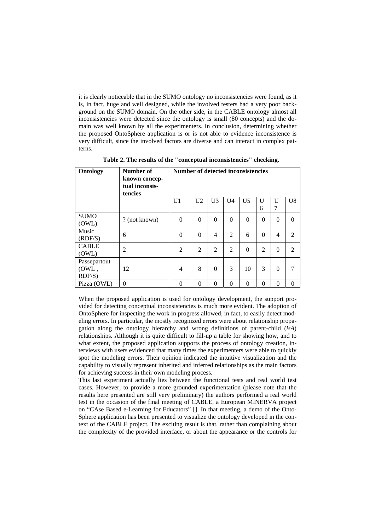it is clearly noticeable that in the SUMO ontology no inconsistencies were found, as it is, in fact, huge and well designed, while the involved testers had a very poor background on the SUMO domain. On the other side, in the CABLE ontology almost all inconsistencies were detected since the ontology is small (80 concepts) and the domain was well known by all the experimenters. In conclusion, determining whether the proposed OntoSphere application is or is not able to evidence inconsistence is very difficult, since the involved factors are diverse and can interact in complex patterns.

| Ontology                           | Number of<br>known concep-<br>tual inconsis-<br>tencies | <b>Number of detected inconsistencies</b> |                |                |                |                |                |                |                |  |
|------------------------------------|---------------------------------------------------------|-------------------------------------------|----------------|----------------|----------------|----------------|----------------|----------------|----------------|--|
|                                    |                                                         | U1                                        | U <sub>2</sub> | U <sub>3</sub> | U <sub>4</sub> | U <sub>5</sub> | U<br>6         | U<br>7         | U <sub>8</sub> |  |
| <b>SUMO</b><br>(OWL)               | ? (not known)                                           | $\theta$                                  | $\theta$       | $\Omega$       | $\theta$       | $\overline{0}$ | $\Omega$       | $\theta$       | $\Omega$       |  |
| Music<br>(RDF/S)                   | 6                                                       | $\theta$                                  | $\theta$       | 4              | 2              | 6              | $\theta$       | 4              | 2              |  |
| <b>CABLE</b><br>(OWL)              | $\overline{2}$                                          | $\overline{2}$                            | $\overline{2}$ | $\overline{2}$ | $\overline{2}$ | $\theta$       | $\overline{2}$ | $\overline{0}$ | $\overline{2}$ |  |
| Passepartout<br>(OWL,<br>$RDF/S$ ) | 12                                                      | 4                                         | 8              | $\Omega$       | 3              | 10             | 3              | $\theta$       | 7              |  |
| Pizza (OWL)                        | $\Omega$                                                | $\Omega$                                  | $\theta$       | $\Omega$       | $\theta$       | $\Omega$       | $\Omega$       | $\Omega$       | $\Omega$       |  |

**Table 2. The results of the "conceptual inconsistencies" checking.** 

When the proposed application is used for ontology development, the support provided for detecting conceptual inconsistencies is much more evident. The adoption of OntoSphere for inspecting the work in progress allowed, in fact, to easily detect modeling errors. In particular, the mostly recognized errors were about relationship propagation along the ontology hierarchy and wrong definitions of parent-child (*isA*) relationships. Although it is quite difficult to fill-up a table for showing how, and to what extent, the proposed application supports the process of ontology creation, interviews with users evidenced that many times the experimenters were able to quickly spot the modeling errors. Their opinion indicated the intuitive visualization and the capability to visually represent inherited and inferred relationships as the main factors for achieving success in their own modeling process.

This last experiment actually lies between the functional tests and real world test cases. However, to provide a more grounded experimentation (please note that the results here presented are still very preliminary) the authors performed a real world test in the occasion of the final meeting of CABLE, a European MINERVA project on "CAse Based e-Learning for Educators" []. In that meeting, a demo of the Onto-Sphere application has been presented to visualize the ontology developed in the context of the CABLE project. The exciting result is that, rather than complaining about the complexity of the provided interface, or about the appearance or the controls for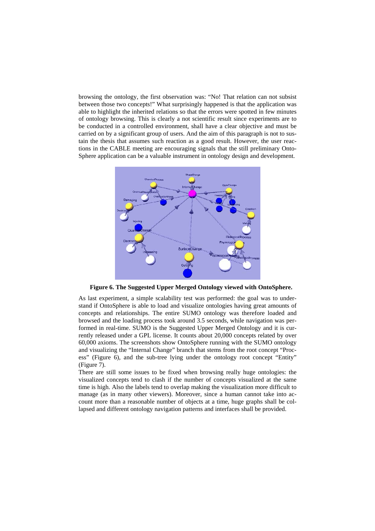browsing the ontology, the first observation was: "No! That relation can not subsist between those two concepts!" What surprisingly happened is that the application was able to highlight the inherited relations so that the errors were spotted in few minutes of ontology browsing. This is clearly a not scientific result since experiments are to be conducted in a controlled environment, shall have a clear objective and must be carried on by a significant group of users. And the aim of this paragraph is not to sustain the thesis that assumes such reaction as a good result. However, the user reactions in the CABLE meeting are encouraging signals that the still preliminary Onto-Sphere application can be a valuable instrument in ontology design and development.



**Figure 6. The Suggested Upper Merged Ontology viewed with OntoSphere.** 

As last experiment, a simple scalability test was performed: the goal was to understand if OntoSphere is able to load and visualize ontologies having great amounts of concepts and relationships. The entire SUMO ontology was therefore loaded and browsed and the loading process took around 3.5 seconds, while navigation was performed in real-time. SUMO is the Suggested Upper Merged Ontology and it is currently released under a GPL license. It counts about 20,000 concepts related by over 60,000 axioms. The screenshots show OntoSphere running with the SUMO ontology and visualizing the "Internal Change" branch that stems from the root concept "Process" (Figure 6), and the sub-tree lying under the ontology root concept "Entity" (Figure 7).

There are still some issues to be fixed when browsing really huge ontologies: the visualized concepts tend to clash if the number of concepts visualized at the same time is high. Also the labels tend to overlap making the visualization more difficult to manage (as in many other viewers). Moreover, since a human cannot take into account more than a reasonable number of objects at a time, huge graphs shall be collapsed and different ontology navigation patterns and interfaces shall be provided.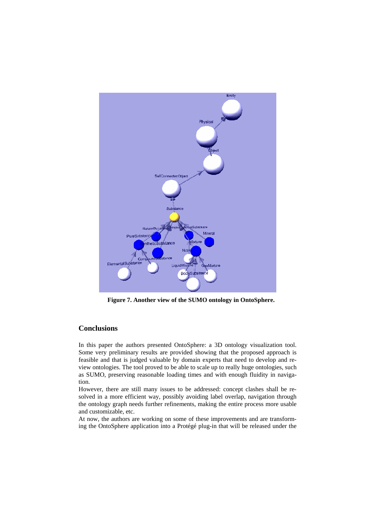

**Figure 7. Another view of the SUMO ontology in OntoSphere.** 

# **Conclusions**

In this paper the authors presented OntoSphere: a 3D ontology visualization tool. Some very preliminary results are provided showing that the proposed approach is feasible and that is judged valuable by domain experts that need to develop and review ontologies. The tool proved to be able to scale up to really huge ontologies, such as SUMO, preserving reasonable loading times and with enough fluidity in navigation.

However, there are still many issues to be addressed: concept clashes shall be resolved in a more efficient way, possibly avoiding label overlap, navigation through the ontology graph needs further refinements, making the entire process more usable and customizable, etc.

At now, the authors are working on some of these improvements and are transforming the OntoSphere application into a Protégé plug-in that will be released under the